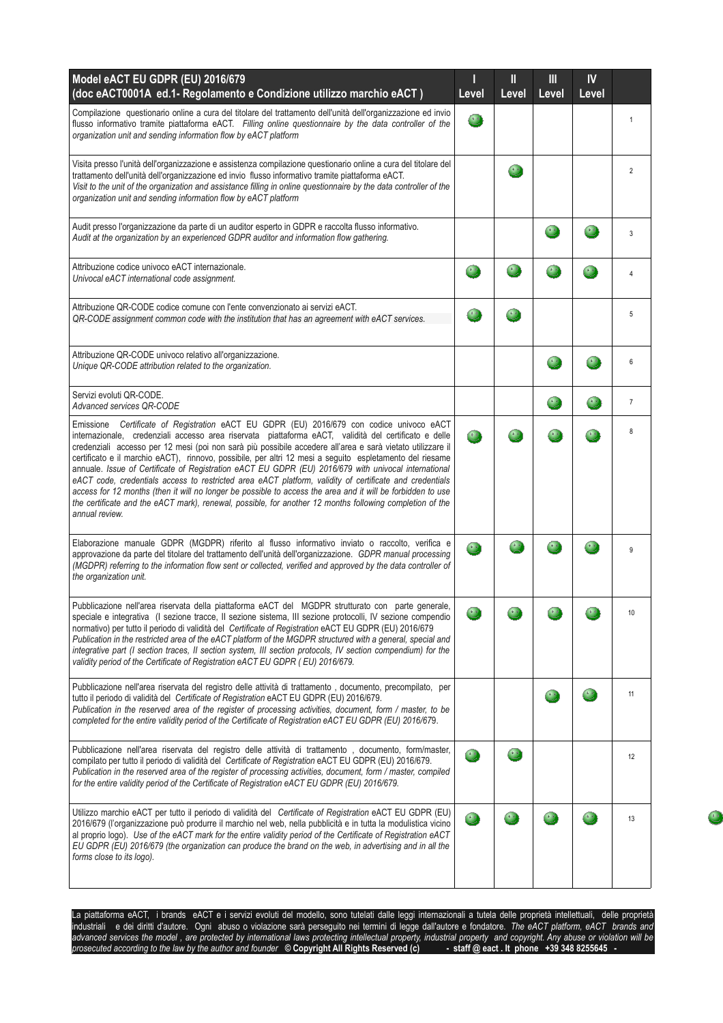| Model eACT EU GDPR (EU) 2016/679<br>(doc eACT0001A ed.1- Regolamento e Condizione utilizzo marchio eACT)                                                                                                                                                                                                                                                                                                                                                                                                                                                                                                                                                                                                                                                                                                                                                                                    | Level     | Ш<br>Level | Ш<br>Level | IV<br>Level |                |
|---------------------------------------------------------------------------------------------------------------------------------------------------------------------------------------------------------------------------------------------------------------------------------------------------------------------------------------------------------------------------------------------------------------------------------------------------------------------------------------------------------------------------------------------------------------------------------------------------------------------------------------------------------------------------------------------------------------------------------------------------------------------------------------------------------------------------------------------------------------------------------------------|-----------|------------|------------|-------------|----------------|
| Compilazione questionario online a cura del titolare del trattamento dell'unità dell'organizzazione ed invio<br>flusso informativo tramite piattaforma eACT. Filling online questionnaire by the data controller of the<br>organization unit and sending information flow by eACT platform                                                                                                                                                                                                                                                                                                                                                                                                                                                                                                                                                                                                  | $\bullet$ |            |            |             | $\mathbf{1}$   |
| Visita presso l'unità dell'organizzazione e assistenza compilazione questionario online a cura del titolare del<br>trattamento dell'unità dell'organizzazione ed invio flusso informativo tramite piattaforma eACT.<br>Visit to the unit of the organization and assistance filling in online questionnaire by the data controller of the<br>organization unit and sending information flow by eACT platform                                                                                                                                                                                                                                                                                                                                                                                                                                                                                |           |            |            |             | $\overline{2}$ |
| Audit presso l'organizzazione da parte di un auditor esperto in GDPR e raccolta flusso informativo.<br>Audit at the organization by an experienced GDPR auditor and information flow gathering.                                                                                                                                                                                                                                                                                                                                                                                                                                                                                                                                                                                                                                                                                             |           |            |            |             | 3              |
| Attribuzione codice univoco eACT internazionale.<br>Univocal eACT international code assignment.                                                                                                                                                                                                                                                                                                                                                                                                                                                                                                                                                                                                                                                                                                                                                                                            |           |            |            |             | 4              |
| Attribuzione QR-CODE codice comune con l'ente convenzionato ai servizi eACT.<br>QR-CODE assignment common code with the institution that has an agreement with eACT services.                                                                                                                                                                                                                                                                                                                                                                                                                                                                                                                                                                                                                                                                                                               | $\bullet$ |            |            |             | 5              |
| Attribuzione QR-CODE univoco relativo all'organizzazione.<br>Unique QR-CODE attribution related to the organization.                                                                                                                                                                                                                                                                                                                                                                                                                                                                                                                                                                                                                                                                                                                                                                        |           |            |            |             | 6              |
| Servizi evoluti QR-CODE.<br>Advanced services QR-CODE                                                                                                                                                                                                                                                                                                                                                                                                                                                                                                                                                                                                                                                                                                                                                                                                                                       |           |            |            |             | $\overline{7}$ |
| Emissione Certificate of Registration eACT EU GDPR (EU) 2016/679 con codice univoco eACT<br>internazionale, credenziali accesso area riservata piattaforma eACT, validità del certificato e delle<br>credenziali accesso per 12 mesi (poi non sarà più possibile accedere all'area e sarà vietato utilizzare il<br>certificato e il marchio eACT), rinnovo, possibile, per altri 12 mesi a seguito espletamento del riesame<br>annuale. Issue of Certificate of Registration eACT EU GDPR (EU) 2016/679 with univocal international<br>eACT code, credentials access to restricted area eACT platform, validity of certificate and credentials<br>access for 12 months (then it will no longer be possible to access the area and it will be forbidden to use<br>the certificate and the eACT mark), renewal, possible, for another 12 months following completion of the<br>annual review. | 8         |            |            |             | 8              |
| Elaborazione manuale GDPR (MGDPR) riferito al flusso informativo inviato o raccolto, verifica e<br>approvazione da parte del titolare del trattamento dell'unità dell'organizzazione. GDPR manual processing<br>(MGDPR) referring to the information flow sent or collected, verified and approved by the data controller of<br>the organization unit.                                                                                                                                                                                                                                                                                                                                                                                                                                                                                                                                      | $\bullet$ |            |            |             | 9              |
| Pubblicazione nell'area riservata della piattaforma eACT del MGDPR strutturato con parte generale,<br>speciale e integrativa (I sezione tracce, Il sezione sistema, III sezione protocolli, IV sezione compendio<br>normativo) per tutto il periodo di validità del Certificate of Registration eACT EU GDPR (EU) 2016/679<br>Publication in the restricted area of the eACT platform of the MGDPR structured with a general, special and<br>integrative part (I section traces, II section system, III section protocols, IV section compendium) for the<br>validity period of the Certificate of Registration eACT EU GDPR (EU) 2016/679.                                                                                                                                                                                                                                                 |           |            |            |             | 10             |
| Pubblicazione nell'area riservata del registro delle attività di trattamento, documento, precompilato, per<br>tutto il periodo di validità del Certificate of Registration eACT EU GDPR (EU) 2016/679.<br>Publication in the reserved area of the register of processing activities, document, form / master, to be<br>completed for the entire validity period of the Certificate of Registration eACT EU GDPR (EU) 2016/679.                                                                                                                                                                                                                                                                                                                                                                                                                                                              |           |            |            |             | 11             |
| Pubblicazione nell'area riservata del registro delle attività di trattamento, documento, form/master,<br>compilato per tutto il periodo di validità del Certificate of Registration eACT EU GDPR (EU) 2016/679.<br>Publication in the reserved area of the register of processing activities, document, form / master, compiled<br>for the entire validity period of the Certificate of Registration eACT EU GDPR (EU) 2016/679.                                                                                                                                                                                                                                                                                                                                                                                                                                                            |           |            |            |             | 12             |
| Utilizzo marchio eACT per tutto il periodo di validità del Certificate of Registration eACT EU GDPR (EU)<br>2016/679 (l'organizzazione può produrre il marchio nel web, nella pubblicità e in tutta la modulistica vicino<br>al proprio logo). Use of the eACT mark for the entire validity period of the Certificate of Registration eACT<br>EU GDPR (EU) 2016/679 (the organization can produce the brand on the web, in advertising and in all the<br>forms close to its logo).                                                                                                                                                                                                                                                                                                                                                                                                          | $\cdot$   |            |            |             | 13             |

La piattaforma eACT, i brands eACT e i servizi evoluti del modello, sono tutelati dalle leggi internazionali a tutela delle proprietà intellettuali, delle proprietà industriali e dei diritti d'autore. Ogni abuso o violazione sarà perseguito nei termini di legge dall'autore e fondatore. *The eACT platform, eACT brands and advanced services the model , are protected by international laws protecting intellectual property, industrial property and copyright. Any abuse or violation will be prosecuted according to the law by the author and founder* **© Copyright All Rights Reserved (c) - staff @ eact . It phone +39 348 8255645 -**